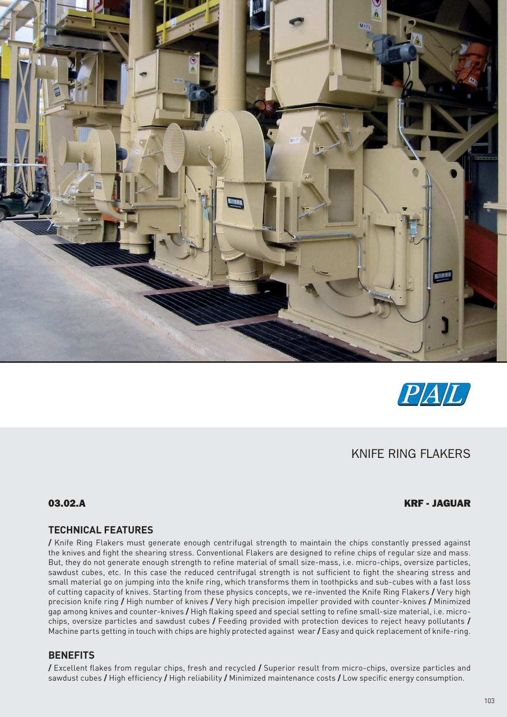



# KNIFE RING FLAKERS

## 03.02.A KRF - JAGUAR

## **TECHNICAL FEATURES**

**/** Knife Ring Flakers must generate enough centrifugal strength to maintain the chips constantly pressed against the knives and fight the shearing stress. Conventional Flakers are designed to refine chips of regular size and mass. But, they do not generate enough strength to refine material of small size-mass, i.e. micro-chips, oversize particles, sawdust cubes, etc. In this case the reduced centrifugal strength is not sufficient to fight the shearing stress and small material go on jumping into the knife ring, which transforms them in toothpicks and sub-cubes with a fast loss of cutting capacity of knives. Starting from these physics concepts, we re-invented the Knife Ring Flakers **/** Very high precision knife ring **/** High number of knives **/** Very high precision impeller provided with counter-knives **/** Minimized gap among knives and counter-knives **/** High flaking speed and special setting to refine small-size material, i.e. microchips, oversize particles and sawdust cubes **/** Feeding provided with protection devices to reject heavy pollutants **/**  Machine parts getting in touch with chips are highly protected against wear **/** Easy and quick replacement of knife-ring.

## **BENEFITS**

**/** Excellent flakes from regular chips, fresh and recycled **/** Superior result from micro-chips, oversize particles and sawdust cubes **/** High efficiency **/** High reliability **/** Minimized maintenance costs **/** Low specific energy consumption.